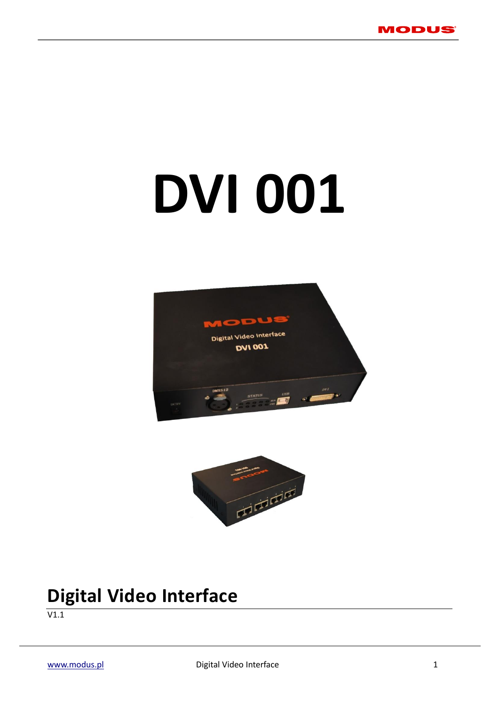

# **DVI 001**





# **Digital Video Interface**

 $V1.1$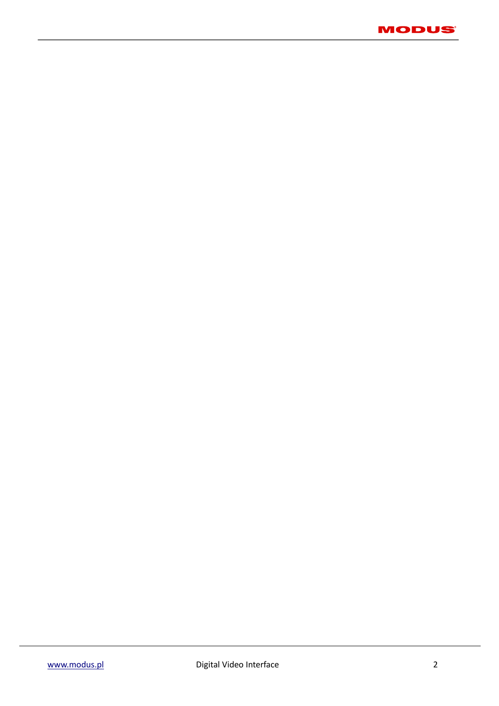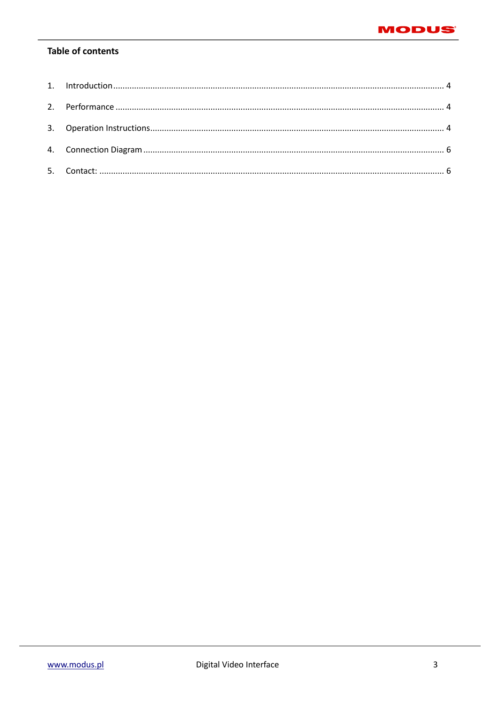

# **Table of contents**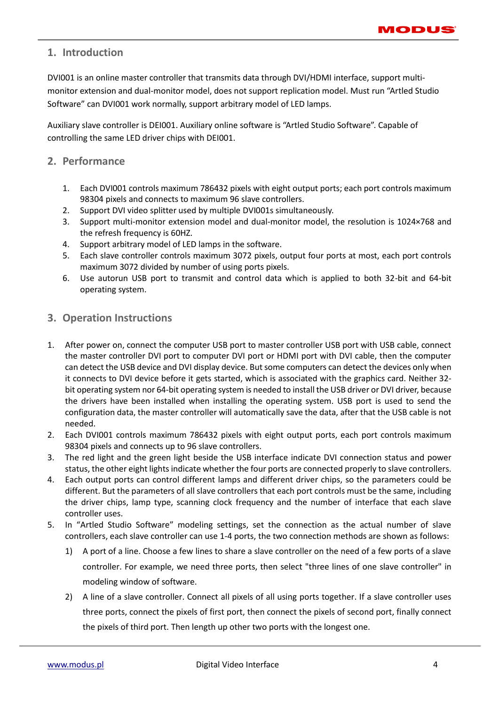

#### <span id="page-3-0"></span>**1. Introduction**

DVI001 is an online master controller that transmits data through DVI/HDMI interface, support multimonitor extension and dual-monitor model, does not support replication model. Must run "Artled Studio Software" can DVI001 work normally, support arbitrary model of LED lamps.

Auxiliary slave controller is DEI001. Auxiliary online software is "Artled Studio Software". Capable of controlling the same LED driver chips with DEI001.

#### <span id="page-3-1"></span>**2. Performance**

- 1. Each DVI001 controls maximum 786432 pixels with eight output ports; each port controls maximum 98304 pixels and connects to maximum 96 slave controllers.
- 2. Support DVI video splitter used by multiple DVI001s simultaneously.
- 3. Support multi-monitor extension model and dual-monitor model, the resolution is 1024×768 and the refresh frequency is 60HZ.
- 4. Support arbitrary model of LED lamps in the software.
- 5. Each slave controller controls maximum 3072 pixels, output four ports at most, each port controls maximum 3072 divided by number of using ports pixels.
- 6. Use autorun USB port to transmit and control data which is applied to both 32-bit and 64-bit operating system.

#### <span id="page-3-2"></span>**3. Operation Instructions**

- 1. After power on, connect the computer USB port to master controller USB port with USB cable, connect the master controller DVI port to computer DVI port or HDMI port with DVI cable, then the computer can detect the USB device and DVI display device. But some computers can detect the devices only when it connects to DVI device before it gets started, which is associated with the graphics card. Neither 32 bit operating system nor 64-bit operating system is needed to install the USB driver or DVI driver, because the drivers have been installed when installing the operating system. USB port is used to send the configuration data, the master controller will automatically save the data, after that the USB cable is not needed.
- 2. Each DVI001 controls maximum 786432 pixels with eight output ports, each port controls maximum 98304 pixels and connects up to 96 slave controllers.
- 3. The red light and the green light beside the USB interface indicate DVI connection status and power status, the other eight lights indicate whether the four ports are connected properly to slave controllers.
- 4. Each output ports can control different lamps and different driver chips, so the parameters could be different. But the parameters of all slave controllers that each port controls must be the same, including the driver chips, lamp type, scanning clock frequency and the number of interface that each slave controller uses.
- 5. In "Artled Studio Software" modeling settings, set the connection as the actual number of slave controllers, each slave controller can use 1-4 ports, the two connection methods are shown as follows:
	- 1) A port of a line. Choose a few lines to share a slave controller on the need of a few ports of a slave controller. For example, we need three ports, then select "three lines of one slave controller" in modeling window of software.
	- 2) A line of a slave controller. Connect all pixels of all using ports together. If a slave controller uses three ports, connect the pixels of first port, then connect the pixels of second port, finally connect the pixels of third port. Then length up other two ports with the longest one.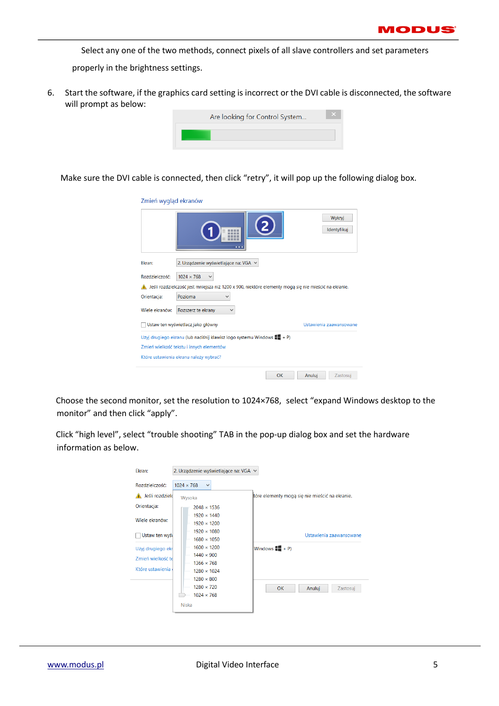

Select any one of the two methods, connect pixels of all slave controllers and set parameters

properly in the brightness settings.

6. Start the software, if the graphics card setting is incorrect or the DVI cable is disconnected, the software will prompt as below:



Make sure the DVI cable is connected, then click "retry", it will pop up the following dialog box.

| Zmień wygląd ekranów                                                                                    |                                   |  |  |  |  |  |  |
|---------------------------------------------------------------------------------------------------------|-----------------------------------|--|--|--|--|--|--|
|                                                                                                         | Wykryj<br><b>Identyfikuj</b>      |  |  |  |  |  |  |
| 2. Urządzenie wyświetlające na: VGA v<br>Ekran:                                                         |                                   |  |  |  |  |  |  |
| Rozdzielczość:                                                                                          | $1024 \times 768$<br>$\checkmark$ |  |  |  |  |  |  |
| A. Jeśli rozdzielczość jest mniejsza niż 1200 x 900, niektóre elementy mogą się nie mieścić na ekranie. |                                   |  |  |  |  |  |  |
| Orientacja:                                                                                             | Pozioma<br>$\checkmark$           |  |  |  |  |  |  |
| Wiele ekranów:                                                                                          | Rozszerz te ekrany<br>v           |  |  |  |  |  |  |
| Ustaw ten wyświetlacz jako główny<br>Ustawienia zaawansowane                                            |                                   |  |  |  |  |  |  |
| Użyj drugiego ekranu (lub naciśnij klawisz logo systemu Windows = + P)                                  |                                   |  |  |  |  |  |  |
| Zmień wielkość tekstu i innych elementów                                                                |                                   |  |  |  |  |  |  |
| Które ustawienia ekranu należy wybrać?                                                                  |                                   |  |  |  |  |  |  |
|                                                                                                         | OK<br>Anuluj<br>Zastosuj          |  |  |  |  |  |  |

 Choose the second monitor, set the resolution to 1024×768, select "expand Windows desktop to the monitor" and then click "apply".

 Click "high level", select "trouble shooting" TAB in the pop-up dialog box and set the hardware information as below.

| Ekran:                                              | 2. Urządzenie wyświetlające na: VGA v    |                                                          |  |  |  |
|-----------------------------------------------------|------------------------------------------|----------------------------------------------------------|--|--|--|
| $1024 \times 768$<br>Rozdzielczość:<br>$\checkmark$ |                                          |                                                          |  |  |  |
| Jeśli rozdzielo                                     | Wysoka                                   | tóre elementy moga się nie mieścić na ekranie.           |  |  |  |
| Orientacja:                                         | $2048 \times 1536$                       |                                                          |  |  |  |
| Wiele ekranów:                                      | $1920 \times 1440$<br>$1920 \times 1200$ |                                                          |  |  |  |
| Ustaw ten wyś                                       | $1920 \times 1080$<br>$1680 \times 1050$ | Ustawienia zaawansowane                                  |  |  |  |
| Użyj drugiego ekr                                   | $1600 \times 1200$                       | Windows $\begin{bmatrix} 1 \\ 2 \\ 3 \end{bmatrix}$ + P) |  |  |  |
| Zmień wielkość te                                   | $1440 \times 900$<br>$1366 \times 768$   |                                                          |  |  |  |
| Które ustawienia                                    | $1280 \times 1024$                       |                                                          |  |  |  |
|                                                     | $1280 \times 800$                        |                                                          |  |  |  |
|                                                     | $1280 \times 720$                        | OK<br>Anuluj<br>Zastosuj                                 |  |  |  |
|                                                     | $1024 \times 768$                        |                                                          |  |  |  |
|                                                     | <b>Niska</b>                             |                                                          |  |  |  |